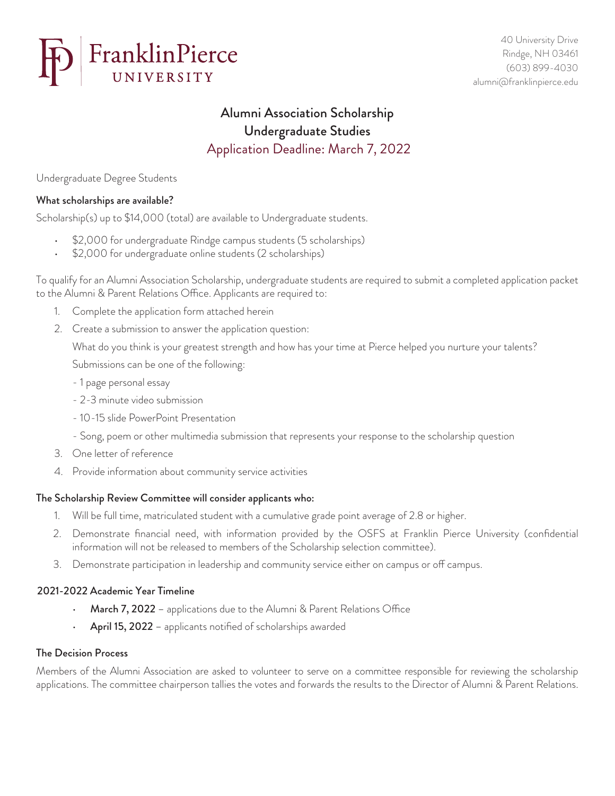

# Alumni Association Scholarship Undergraduate Studies Application Deadline: March 7, 2022

Undergraduate Degree Students

## What scholarships are available?

Scholarship(s) up to \$14,000 (total) are available to Undergraduate students.

- \$2,000 for undergraduate Rindge campus students (5 scholarships)
- \$2,000 for undergraduate online students (2 scholarships)

To qualify for an Alumni Association Scholarship, undergraduate students are required to submit a completed application packet to the Alumni & Parent Relations Office. Applicants are required to:

- 1. Complete the application form attached herein
- 2. Create a submission to answer the application question:

What do you think is your greatest strength and how has your time at Pierce helped you nurture your talents?

Submissions can be one of the following:

- 1 page personal essay
- 2-3 minute video submission
- 10-15 slide PowerPoint Presentation
- Song, poem or other multimedia submission that represents your response to the scholarship question
- 3. One letter of reference
- 4. Provide information about community service activities

## The Scholarship Review Committee will consider applicants who:

- 1. Will be full time, matriculated student with a cumulative grade point average of 2.8 or higher.
- 2. Demonstrate financial need, with information provided by the OSFS at Franklin Pierce University (confidential information will not be released to members of the Scholarship selection committee).
- 3. Demonstrate participation in leadership and community service either on campus or off campus.

## 2021-2022 Academic Year Timeline

- March 7, 2022 applications due to the Alumni & Parent Relations Office
- April 15, 2022 applicants notified of scholarships awarded

#### The Decision Process

Members of the Alumni Association are asked to volunteer to serve on a committee responsible for reviewing the scholarship applications. The committee chairperson tallies the votes and forwards the results to the Director of Alumni & Parent Relations.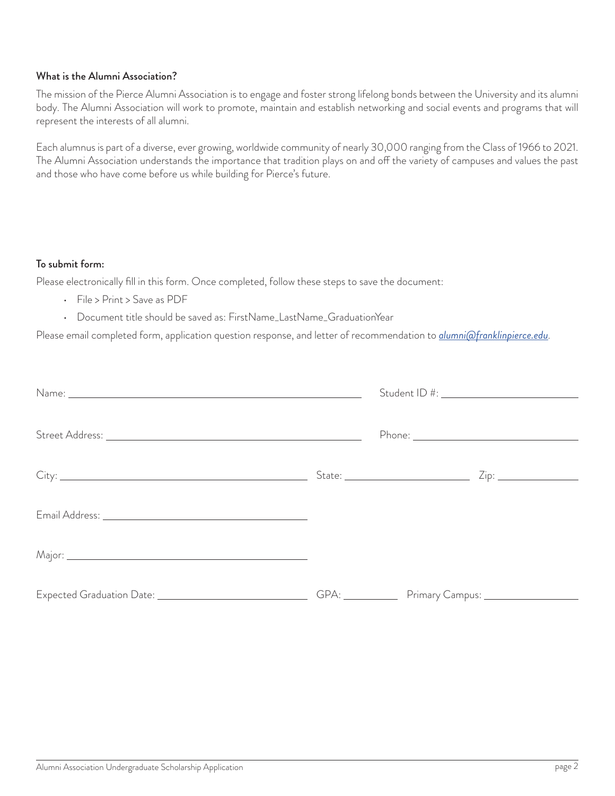#### What is the Alumni Association?

The mission of the Pierce Alumni Association is to engage and foster strong lifelong bonds between the University and its alumni body. The Alumni Association will work to promote, maintain and establish networking and social events and programs that will represent the interests of all alumni.

Each alumnus is part of a diverse, ever growing, worldwide community of nearly 30,000 ranging from the Class of 1966 to 2021. The Alumni Association understands the importance that tradition plays on and off the variety of campuses and values the past and those who have come before us while building for Pierce's future.

#### To submit form:

Please electronically fill in this form. Once completed, follow these steps to save the document:

- File > Print > Save as PDF
- Document title should be saved as: FirstName\_LastName\_GraduationYear

Please email completed form, application question response, and letter of recommendation to *alumni@franklinpierce.edu.*